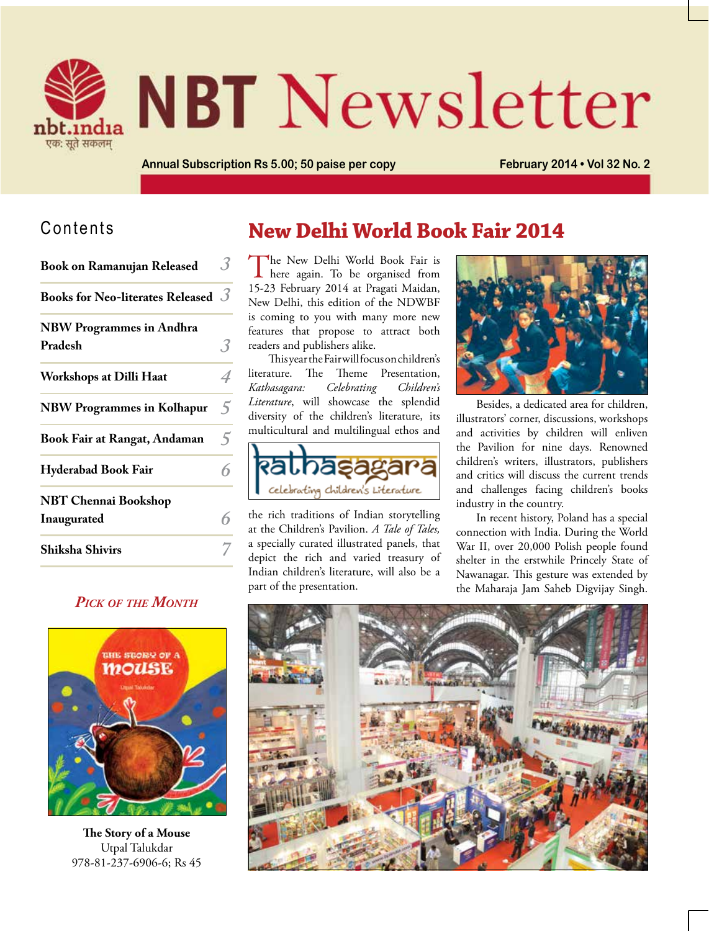

# **NBT** Newsletter

**Annual Subscription Rs 5.00; 50 paise per copy February 2014 • Vol 32 No. 2**

## Contents

| <b>Book on Ramanujan Released</b>          | .3 |
|--------------------------------------------|----|
| Books for Neo-literates Released $\beta$   |    |
| <b>NBW Programmes in Andhra</b><br>Pradesh | 3  |
| <b>Workshops at Dilli Haat</b>             | 4  |
| <b>NBW Programmes in Kolhapur</b>          | 5  |
| <b>Book Fair at Rangat, Andaman</b>        | 5  |
| <b>Hyderabad Book Fair</b>                 | 6  |
| <b>NBT Chennai Bookshop</b><br>Inaugurated | 6  |
| <b>Shiksha Shivirs</b>                     |    |

## *Pick of the Month*



**The Story of a Mouse** Utpal Talukdar 978-81-237-6906-6; Rs 45

# **New Delhi World Book Fair 2014**

The New Delhi World Book Fair is<br>here again. To be organised from 15-23 February 2014 at Pragati Maidan, New Delhi, this edition of the NDWBF is coming to you with many more new features that propose to attract both readers and publishers alike.

This year the Fair will focus on children's literature. The Theme Presentation, *Kathasagara: Celebrating Children's Literature*, will showcase the splendid diversity of the children's literature, its multicultural and multilingual ethos and



the rich traditions of Indian storytelling at the Children's Pavilion. *A Tale of Tales,* a specially curated illustrated panels, that depict the rich and varied treasury of Indian children's literature, will also be a part of the presentation.



Besides, a dedicated area for children, illustrators' corner, discussions, workshops and activities by children will enliven the Pavilion for nine days. Renowned children's writers, illustrators, publishers and critics will discuss the current trends and challenges facing children's books industry in the country.

In recent history, Poland has a special connection with India. During the World War II, over 20,000 Polish people found shelter in the erstwhile Princely State of Nawanagar. This gesture was extended by the Maharaja Jam Saheb Digvijay Singh.

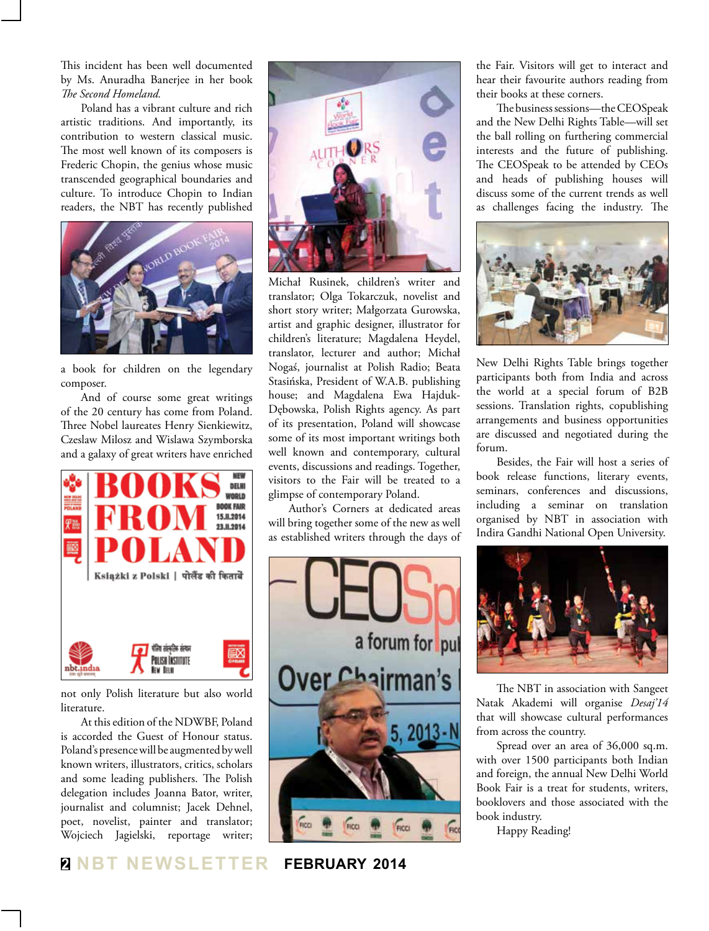This incident has been well documented by Ms. Anuradha Banerjee in her book *The Second Homeland.*

Poland has a vibrant culture and rich artistic traditions. And importantly, its contribution to western classical music. The most well known of its composers is Frederic Chopin, the genius whose music transcended geographical boundaries and culture. To introduce Chopin to Indian readers, the NBT has recently published



a book for children on the legendary composer.

And of course some great writings of the 20 century has come from Poland. Three Nobel laureates Henry Sienkiewitz, Czeslaw Milosz and Wislawa Szymborska and a galaxy of great writers have enriched



not only Polish literature but also world literature.

At this edition of the NDWBF, Poland is accorded the Guest of Honour status. Poland's presence will be augmented by well known writers, illustrators, critics, scholars and some leading publishers. The Polish delegation includes Joanna Bator, writer, journalist and columnist; Jacek Dehnel, poet, novelist, painter and translator; Wojciech Jagielski, reportage writer;



Michał Rusinek, children's writer and translator; Olga Tokarczuk, novelist and short story writer; Małgorzata Gurowska, artist and graphic designer, illustrator for children's literature; Magdalena Heydel, translator, lecturer and author; Michał Nogaś, journalist at Polish Radio; Beata Stasińska, President of W.A.B. publishing house; and Magdalena Ewa Hajduk-Dębowska, Polish Rights agency. As part of its presentation, Poland will showcase some of its most important writings both well known and contemporary, cultural events, discussions and readings. Together, visitors to the Fair will be treated to a glimpse of contemporary Poland.

Author's Corners at dedicated areas will bring together some of the new as well as established writers through the days of



the Fair. Visitors will get to interact and hear their favourite authors reading from their books at these corners.

The business sessions—the CEOSpeak and the New Delhi Rights Table—will set the ball rolling on furthering commercial interests and the future of publishing. The CEOSpeak to be attended by CEOs and heads of publishing houses will discuss some of the current trends as well as challenges facing the industry. The



New Delhi Rights Table brings together participants both from India and across the world at a special forum of B2B sessions. Translation rights, copublishing arrangements and business opportunities are discussed and negotiated during the forum.

Besides, the Fair will host a series of book release functions, literary events, seminars, conferences and discussions, including a seminar on translation organised by NBT in association with Indira Gandhi National Open University.



The NBT in association with Sangeet Natak Akademi will organise *Desaj'14* that will showcase cultural performances from across the country.

Spread over an area of 36,000 sq.m. with over 1500 participants both Indian and foreign, the annual New Delhi World Book Fair is a treat for students, writers, booklovers and those associated with the book industry.

Happy Reading!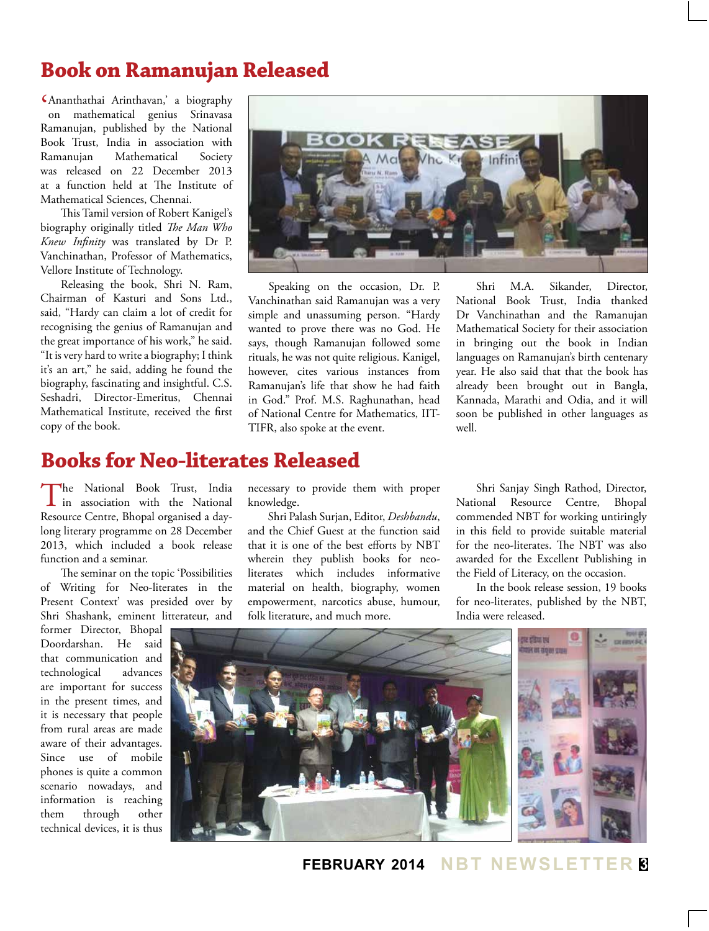# **Book on Ramanujan Released**

' Ananthathai Arinthavan,' a biography on mathematical genius Srinavasa Ramanujan, published by the National Book Trust, India in association with Ramanujan Mathematical Society was released on 22 December 2013 at a function held at The Institute of Mathematical Sciences, Chennai.

This Tamil version of Robert Kanigel's biography originally titled *The Man Who Knew Infinity* was translated by Dr P. Vanchinathan, Professor of Mathematics, Vellore Institute of Technology.

Releasing the book, Shri N. Ram, Chairman of Kasturi and Sons Ltd., said, "Hardy can claim a lot of credit for recognising the genius of Ramanujan and the great importance of his work," he said. "It is very hard to write a biography; I think it's an art," he said, adding he found the biography, fascinating and insightful. C.S. Seshadri, Director-Emeritus, Chennai Mathematical Institute, received the first copy of the book.

# **Books for Neo-literates Released**

The National Book Trust, India<br>in association with the National Resource Centre, Bhopal organised a daylong literary programme on 28 December 2013, which included a book release function and a seminar.

The seminar on the topic 'Possibilities of Writing for Neo-literates in the Present Context' was presided over by Shri Shashank, eminent litterateur, and

former Director, Bhopal Doordarshan. He said that communication and technological advances are important for success in the present times, and it is necessary that people from rural areas are made aware of their advantages. Since use of mobile phones is quite a common scenario nowadays, and information is reaching them through other technical devices, it is thus



Speaking on the occasion, Dr. P. Vanchinathan said Ramanujan was a very simple and unassuming person. "Hardy wanted to prove there was no God. He says, though Ramanujan followed some rituals, he was not quite religious. Kanigel, however, cites various instances from Ramanujan's life that show he had faith in God." Prof. M.S. Raghunathan, head of National Centre for Mathematics, IIT-TIFR, also spoke at the event.

Shri M.A. Sikander, Director, National Book Trust, India thanked Dr Vanchinathan and the Ramanujan Mathematical Society for their association in bringing out the book in Indian languages on Ramanujan's birth centenary year. He also said that that the book has already been brought out in Bangla, Kannada, Marathi and Odia, and it will soon be published in other languages as well.

necessary to provide them with proper knowledge.

Shri Palash Surjan, Editor, *Deshbandu*, and the Chief Guest at the function said that it is one of the best efforts by NBT wherein they publish books for neoliterates which includes informative material on health, biography, women empowerment, narcotics abuse, humour, folk literature, and much more.

Shri Sanjay Singh Rathod, Director, National Resource Centre, Bhopal commended NBT for working untiringly in this field to provide suitable material for the neo-literates. The NBT was also awarded for the Excellent Publishing in the Field of Literacy, on the occasion.

In the book release session, 19 books for neo-literates, published by the NBT, India were released.



**february 2014 NBT Newsletter 3**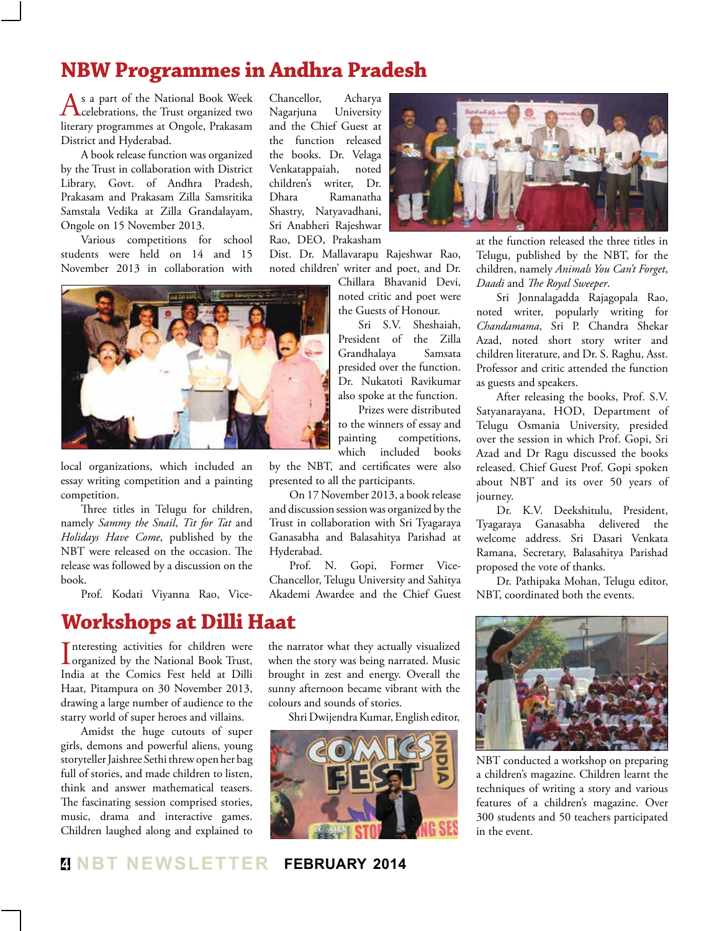# **NBW Programmes in Andhra Pradesh**

As a part of the National Book Week<br>celebrations, the Trust organized two literary programmes at Ongole, Prakasam District and Hyderabad.

A book release function was organized by the Trust in collaboration with District Library, Govt. of Andhra Pradesh, Prakasam and Prakasam Zilla Samsritika Samstala Vedika at Zilla Grandalayam, Ongole on 15 November 2013.

Various competitions for school students were held on 14 and 15 November 2013 in collaboration with



local organizations, which included an essay writing competition and a painting competition.

Three titles in Telugu for children, namely *Sammy the Snail*, *Tit for Tat* and *Holidays Have Come*, published by the NBT were released on the occasion. The release was followed by a discussion on the book.

Prof. Kodati Viyanna Rao, Vice-

**Workshops at Dilli Haat**

Interesting activities for children were<br>organized by the National Book Trust, nteresting activities for children were India at the Comics Fest held at Dilli Haat, Pitampura on 30 November 2013, drawing a large number of audience to the starry world of super heroes and villains.

Amidst the huge cutouts of super girls, demons and powerful aliens, young storyteller Jaishree Sethi threw open her bag full of stories, and made children to listen, think and answer mathematical teasers. The fascinating session comprised stories, music, drama and interactive games. Children laughed along and explained to Chancellor, Acharya Nagarjuna University and the Chief Guest at the function released the books. Dr. Velaga Venkatappaiah, noted children's writer, Dr. Dhara Ramanatha Shastry, Natyavadhani, Sri Anabheri Rajeshwar Rao, DEO, Prakasham

Dist. Dr. Mallavarapu Rajeshwar Rao, noted children' writer and poet, and Dr.

> Chillara Bhavanid Devi, noted critic and poet were the Guests of Honour.

Sri S.V. Sheshaiah, President of the Zilla Grandhalaya presided over the function. Dr. Nukatoti Ravikumar also spoke at the function.

Prizes were distributed to the winners of essay and painting competitions, which included books

by the NBT, and certificates were also presented to all the participants.

On 17 November 2013, a book release and discussion session was organized by the Trust in collaboration with Sri Tyagaraya Ganasabha and Balasahitya Parishad at Hyderabad.

Prof. N. Gopi, Former Vice-Chancellor, Telugu University and Sahitya Akademi Awardee and the Chief Guest

the narrator what they actually visualized when the story was being narrated. Music brought in zest and energy. Overall the sunny afternoon became vibrant with the colours and sounds of stories.

Shri Dwijendra Kumar, English editor,



at the function released the three titles in Telugu, published by the NBT, for the children, namely *Animals You Can't Forget*, *Daadi* and *The Royal Sweeper*.

Sri Jonnalagadda Rajagopala Rao, noted writer, popularly writing for *Chandamama*, Sri P. Chandra Shekar Azad, noted short story writer and children literature, and Dr. S. Raghu, Asst. Professor and critic attended the function as guests and speakers.

After releasing the books, Prof. S.V. Satyanarayana, HOD, Department of Telugu Osmania University, presided over the session in which Prof. Gopi, Sri Azad and Dr Ragu discussed the books released. Chief Guest Prof. Gopi spoken about NBT and its over 50 years of journey.

Dr. K.V. Deekshitulu, President, Tyagaraya Ganasabha delivered the welcome address. Sri Dasari Venkata Ramana, Secretary, Balasahitya Parishad proposed the vote of thanks.

Dr. Pathipaka Mohan, Telugu editor, NBT, coordinated both the events.



NBT conducted a workshop on preparing a children's magazine. Children learnt the techniques of writing a story and various features of a children's magazine. Over 300 students and 50 teachers participated in the event.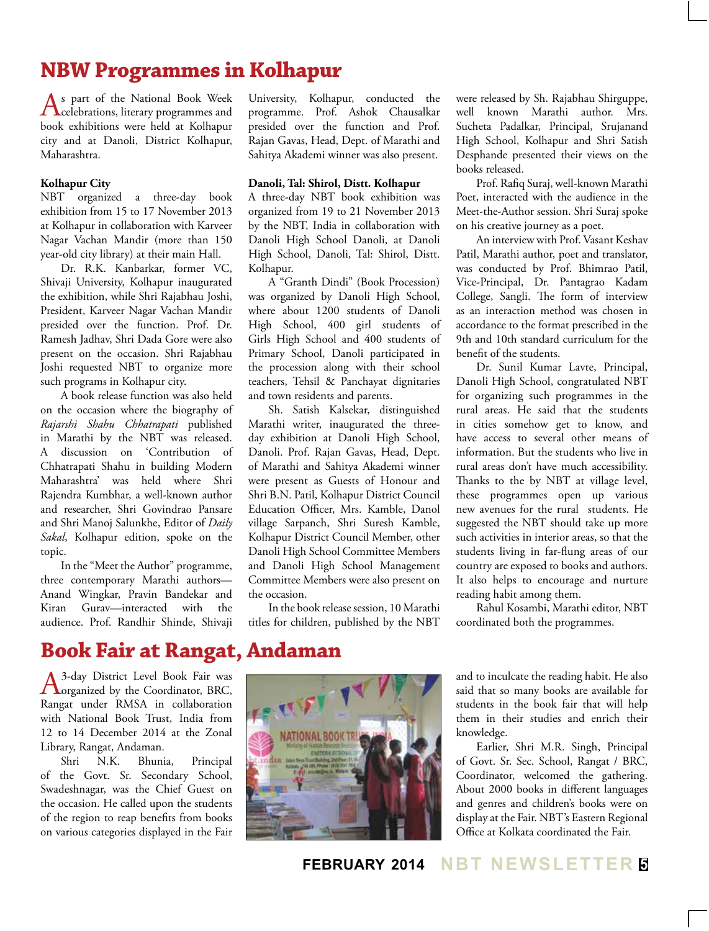# **NBW Programmes in Kolhapur**

As part of the National Book Week<br>celebrations, literary programmes and book exhibitions were held at Kolhapur city and at Danoli, District Kolhapur, Maharashtra.

### **Kolhapur City**

NBT organized a three-day book exhibition from 15 to 17 November 2013 at Kolhapur in collaboration with Karveer Nagar Vachan Mandir (more than 150 year-old city library) at their main Hall.

Dr. R.K. Kanbarkar, former VC, Shivaji University, Kolhapur inaugurated the exhibition, while Shri Rajabhau Joshi, President, Karveer Nagar Vachan Mandir presided over the function. Prof. Dr. Ramesh Jadhav, Shri Dada Gore were also present on the occasion. Shri Rajabhau Joshi requested NBT to organize more such programs in Kolhapur city.

A book release function was also held on the occasion where the biography of *Rajarshi Shahu Chhatrapati* published in Marathi by the NBT was released. A discussion on 'Contribution of Chhatrapati Shahu in building Modern Maharashtra' was held where Shri Rajendra Kumbhar, a well-known author and researcher, Shri Govindrao Pansare and Shri Manoj Salunkhe, Editor of *Daily Sakal*, Kolhapur edition, spoke on the topic.

In the "Meet the Author" programme, three contemporary Marathi authors— Anand Wingkar, Pravin Bandekar and Kiran Gurav—interacted with the audience. Prof. Randhir Shinde, Shivaji University, Kolhapur, conducted the programme. Prof. Ashok Chausalkar presided over the function and Prof. Rajan Gavas, Head, Dept. of Marathi and Sahitya Akademi winner was also present.

#### **Danoli, Tal: Shirol, Distt. Kolhapur**

A three-day NBT book exhibition was organized from 19 to 21 November 2013 by the NBT, India in collaboration with Danoli High School Danoli, at Danoli High School, Danoli, Tal: Shirol, Distt. Kolhapur.

A "Granth Dindi" (Book Procession) was organized by Danoli High School, where about 1200 students of Danoli High School, 400 girl students of Girls High School and 400 students of Primary School, Danoli participated in the procession along with their school teachers, Tehsil & Panchayat dignitaries and town residents and parents.

Sh. Satish Kalsekar, distinguished Marathi writer, inaugurated the threeday exhibition at Danoli High School, Danoli. Prof. Rajan Gavas, Head, Dept. of Marathi and Sahitya Akademi winner were present as Guests of Honour and Shri B.N. Patil, Kolhapur District Council Education Officer, Mrs. Kamble, Danol village Sarpanch, Shri Suresh Kamble, Kolhapur District Council Member, other Danoli High School Committee Members and Danoli High School Management Committee Members were also present on the occasion.

In the book release session, 10 Marathi titles for children, published by the NBT

were released by Sh. Rajabhau Shirguppe, well known Marathi author. Mrs. Sucheta Padalkar, Principal, Srujanand High School, Kolhapur and Shri Satish Desphande presented their views on the books released.

Prof. Rafiq Suraj, well-known Marathi Poet, interacted with the audience in the Meet-the-Author session. Shri Suraj spoke on his creative journey as a poet.

An interview with Prof. Vasant Keshav Patil, Marathi author, poet and translator, was conducted by Prof. Bhimrao Patil, Vice-Principal, Dr. Pantagrao Kadam College, Sangli. The form of interview as an interaction method was chosen in accordance to the format prescribed in the 9th and 10th standard curriculum for the benefit of the students.

Dr. Sunil Kumar Lavte, Principal, Danoli High School, congratulated NBT for organizing such programmes in the rural areas. He said that the students in cities somehow get to know, and have access to several other means of information. But the students who live in rural areas don't have much accessibility. Thanks to the by NBT at village level, these programmes open up various new avenues for the rural students. He suggested the NBT should take up more such activities in interior areas, so that the students living in far-flung areas of our country are exposed to books and authors. It also helps to encourage and nurture reading habit among them.

Rahul Kosambi, Marathi editor, NBT coordinated both the programmes.

## **Book Fair at Rangat, Andaman**

A<sup>3-day</sup> District Level Book Fair was<br>
organized by the Coordinator, BRC, Rangat under RMSA in collaboration with National Book Trust, India from 12 to 14 December 2014 at the Zonal Library, Rangat, Andaman.

Shri N.K. Bhunia, Principal of the Govt. Sr. Secondary School, Swadeshnagar, was the Chief Guest on the occasion. He called upon the students of the region to reap benefits from books on various categories displayed in the Fair



and to inculcate the reading habit. He also said that so many books are available for students in the book fair that will help them in their studies and enrich their knowledge.

Earlier, Shri M.R. Singh, Principal of Govt. Sr. Sec. School, Rangat / BRC, Coordinator, welcomed the gathering. About 2000 books in different languages and genres and children's books were on display at the Fair. NBT's Eastern Regional Office at Kolkata coordinated the Fair.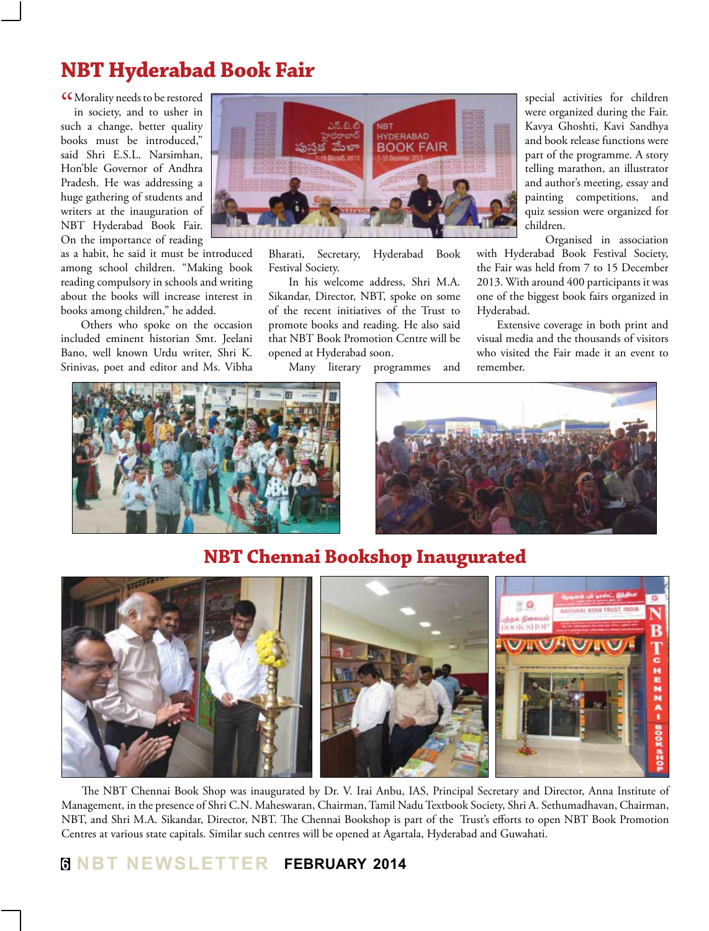# **NBT Hyderabad Book Fair**

CCMorality needs to be restored<br>in society, and to usher in in society, and to usher in such a change, better quality books must be introduced," said Shri E.S.L. Narsimhan, Hon'ble Governor of Andhra Pradesh. He was addressing a huge gathering of students and writers at the inauguration of NBT Hyderabad Book Fair. On the importance of reading

as a habit, he said it must be introduced among school children. "Making book reading compulsory in schools and writing about the books will increase interest in books among children," he added.

Others who spoke on the occasion included eminent historian Smt. Jeelani Bano, well known Urdu writer, Shri K. Srinivas, poet and editor and Ms. Vibha



Bharati, Secretary, Hyderabad Book Festival Society.

In his welcome address, Shri M.A. Sikandar, Director, NBT, spoke on some of the recent initiatives of the Trust to promote books and reading. He also said that NBT Book Promotion Centre will be opened at Hyderabad soon.

Many literary programmes and

special activities for children were organized during the Fair. Kavya Ghoshti, Kavi Sandhya and book release functions were part of the programme. A story telling marathon, an illustrator and author's meeting, essay and painting competitions, and quiz session were organized for children.

Organised in association with Hyderabad Book Festival Society, the Fair was held from 7 to 15 December 2013. With around 400 participants it was one of the biggest book fairs organized in Hyderabad.

Extensive coverage in both print and visual media and the thousands of visitors who visited the Fair made it an event to remember.





## **NBT Chennai Bookshop Inaugurated**



The NBT Chennai Book Shop was inaugurated by Dr. V. Irai Anbu, IAS, Principal Secretary and Director, Anna Institute of Management, in the presence of Shri C.N. Maheswaran, Chairman, Tamil Nadu Textbook Society, Shri A. Sethumadhavan, Chairman, NBT, and Shri M.A. Sikandar, Director, NBT. The Chennai Bookshop is part of the Trust's efforts to open NBT Book Promotion Centres at various state capitals. Similar such centres will be opened at Agartala, Hyderabad and Guwahati.

#### **6 NBT Newsletter february 2014**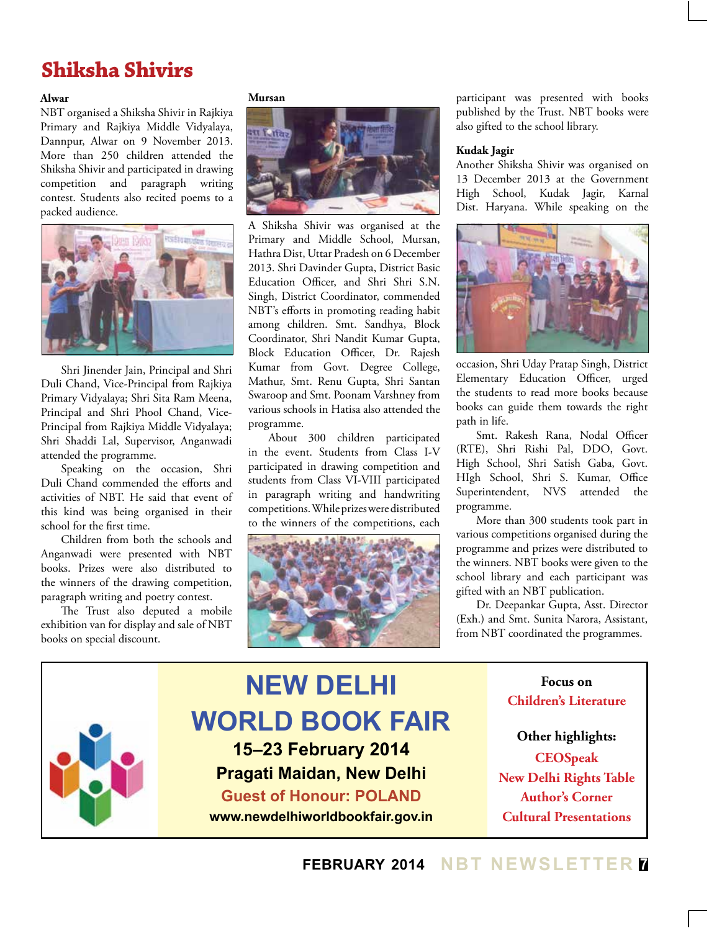# **Shiksha Shivirs**

### **Alwar**

NBT organised a Shiksha Shivir in Rajkiya Primary and Rajkiya Middle Vidyalaya, Dannpur, Alwar on 9 November 2013. More than 250 children attended the Shiksha Shivir and participated in drawing competition and paragraph writing contest. Students also recited poems to a packed audience.



Shri Jinender Jain, Principal and Shri Duli Chand, Vice-Principal from Rajkiya Primary Vidyalaya; Shri Sita Ram Meena, Principal and Shri Phool Chand, Vice-Principal from Rajkiya Middle Vidyalaya; Shri Shaddi Lal, Supervisor, Anganwadi attended the programme.

Speaking on the occasion, Shri Duli Chand commended the efforts and activities of NBT. He said that event of this kind was being organised in their school for the first time.

Children from both the schools and Anganwadi were presented with NBT books. Prizes were also distributed to the winners of the drawing competition, paragraph writing and poetry contest.

The Trust also deputed a mobile exhibition van for display and sale of NBT books on special discount.

#### **Mursan**



A Shiksha Shivir was organised at the Primary and Middle School, Mursan, Hathra Dist, Uttar Pradesh on 6 December 2013. Shri Davinder Gupta, District Basic Education Officer, and Shri Shri S.N. Singh, District Coordinator, commended NBT's efforts in promoting reading habit among children. Smt. Sandhya, Block Coordinator, Shri Nandit Kumar Gupta, Block Education Officer, Dr. Rajesh Kumar from Govt. Degree College, Mathur, Smt. Renu Gupta, Shri Santan Swaroop and Smt. Poonam Varshney from various schools in Hatisa also attended the programme.

About 300 children participated in the event. Students from Class I-V participated in drawing competition and students from Class VI-VIII participated in paragraph writing and handwriting competitions. While prizes were distributed to the winners of the competitions, each



participant was presented with books published by the Trust. NBT books were also gifted to the school library.

#### **Kudak Jagir**

Another Shiksha Shivir was organised on 13 December 2013 at the Government High School, Kudak Jagir, Karnal Dist. Haryana. While speaking on the



occasion, Shri Uday Pratap Singh, District Elementary Education Officer, urged the students to read more books because books can guide them towards the right path in life.

Smt. Rakesh Rana, Nodal Officer (RTE), Shri Rishi Pal, DDO, Govt. High School, Shri Satish Gaba, Govt. HIgh School, Shri S. Kumar, Office Superintendent, NVS attended the programme.

More than 300 students took part in various competitions organised during the programme and prizes were distributed to the winners. NBT books were given to the school library and each participant was gifted with an NBT publication.

Dr. Deepankar Gupta, Asst. Director (Exh.) and Smt. Sunita Narora, Assistant, from NBT coordinated the programmes.

#### **NEW DELHI WORLD BOOK FAIR 15–23 February 2014 Pragati Maidan, New Delhi Guest of Honour: POLAND www.newdelhiworldbookfair.gov.in Focus on Children's Literature Other highlights: CEOSpeak New Delhi Rights Table Author's Corner Cultural Presentations**

## **february 2014 NBT Newsletter 7**